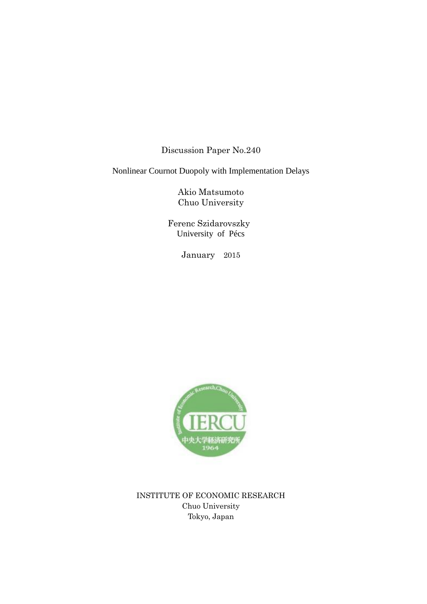Discussion Paper No.240

Nonlinear Cournot Duopoly with Implementation Delays

Akio Matsumoto Chuo University

 Ferenc Szidarovszky University of Pécs

January 2015



INSTITUTE OF ECONOMIC RESEARCH Chuo University Tokyo, Japan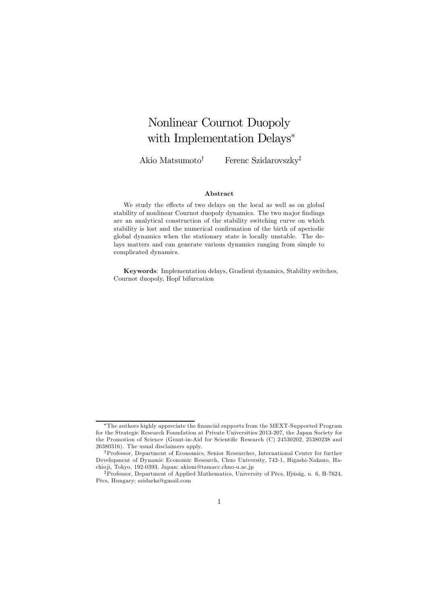# Nonlinear Cournot Duopoly with Implementation Delays<sup>\*</sup>

Akio Matsumoto† Ferenc Szidarovszky‡

#### Abstract

We study the effects of two delays on the local as well as on global stability of nonlinear Cournot duopoly dynamics. The two major findings are an analytical construction of the stability switching curve on which stability is lost and the numerical confirmation of the birth of aperiodic global dynamics when the stationary state is locally unstable. The delays matters and can generate various dynamics ranging from simple to complicated dynamics.

Keywords: Implementation delays, Gradient dynamics, Stability switches, Cournot duopoly, Hopf bifurcation

<sup>∗</sup>The authors highly appreciate the financial supports from the MEXT-Supported Program for the Strategic Research Foundation at Private Universities 2013-207, the Japan Society for the Promotion of Science (Grant-in-Aid for Scientific Research (C) 24530202, 25380238 and 26380316). The usual disclaimers apply.

<sup>†</sup>Professor, Department of Economics, Senior Researcher, International Center for further Development of Dynamic Economic Research, Chuo University, 742-1, Higashi-Nakano, Hachio ji, Tokyo, 192-0393, Japan; akiom@tamacc.chuo-u.ac.jp

<sup>‡</sup>Professor, Department of Applied Mathematics, University of Pécs, Ifjúság, u. 6, H-7624, Pécs, Hungary; szidarka@gmail.com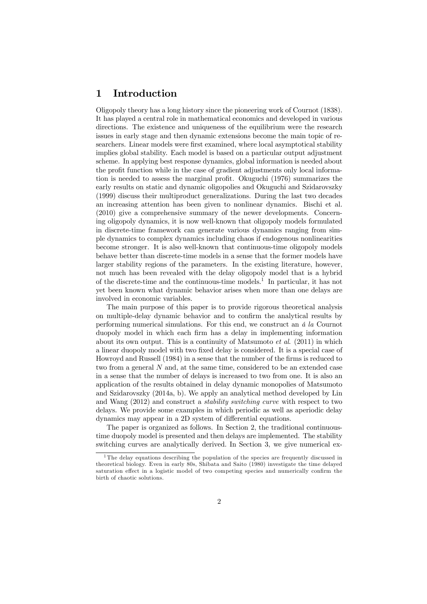## 1 Introduction

Oligopoly theory has a long history since the pioneering work of Cournot (1838). It has played a central role in mathematical economics and developed in various directions. The existence and uniqueness of the equilibrium were the research issues in early stage and then dynamic extensions become the main topic of researchers. Linear models were first examined, where local asymptotical stability implies global stability. Each model is based on a particular output adjustment scheme. In applying best response dynamics, global information is needed about the profit function while in the case of gradient adjustments only local information is needed to assess the marginal profit. Okuguchi (1976) summarizes the early results on static and dynamic oligopolies and Okuguchi and Szidarovszky (1999) discuss their multiproduct generalizations. During the last two decades an increasing attention has been given to nonlinear dynamics. Bischi et al. (2010) give a comprehensive summary of the newer developments. Concerning oligopoly dynamics, it is now well-known that oligopoly models formulated in discrete-time framework can generate various dynamics ranging from simple dynamics to complex dynamics including chaos if endogenous nonlinearities become stronger. It is also well-known that continuous-time oligopoly models behave better than discrete-time models in a sense that the former models have larger stability regions of the parameters. In the existing literature, however, not much has been revealed with the delay oligopoly model that is a hybrid of the discrete-time and the continuous-time models.<sup>1</sup> In particular, it has not yet been known what dynamic behavior arises when more than one delays are involved in economic variables.

The main purpose of this paper is to provide rigorous theoretical analysis on multiple-delay dynamic behavior and to confirm the analytical results by performing numerical simulations. For this end, we construct an *á la* Cournot duopoly model in which each firm has a delay in implementing information about its own output. This is a continuity of Matsumoto *et al*. (2011) in which a linear duopoly model with two fixed delay is considered. It is a special case of Howroyd and Russell (1984) in a sense that the number of the firms is reduced to two from a general N and, at the same time, considered to be an extended case in a sense that the number of delays is increased to two from one. It is also an application of the results obtained in delay dynamic monopolies of Matsumoto and Szidarovszky (2014a, b). We apply an analytical method developed by Lin and Wang (2012) and construct a *stability switching curve* with respect to two delays. We provide some examples in which periodic as well as aperiodic delay dynamics may appear in a 2D system of differential equations.

The paper is organized as follows. In Section 2, the traditional continuoustime duopoly model is presented and then delays are implemented. The stability switching curves are analytically derived. In Section 3, we give numerical ex-

<sup>&</sup>lt;sup>1</sup>The delay equations describing the population of the species are frequently discussed in theoretical biology. Even in early 80s, Shibata and Saito (1980) investigate the time delayed saturation effect in a logistic model of two competing species and numerically confirm the birth of chaotic solutions.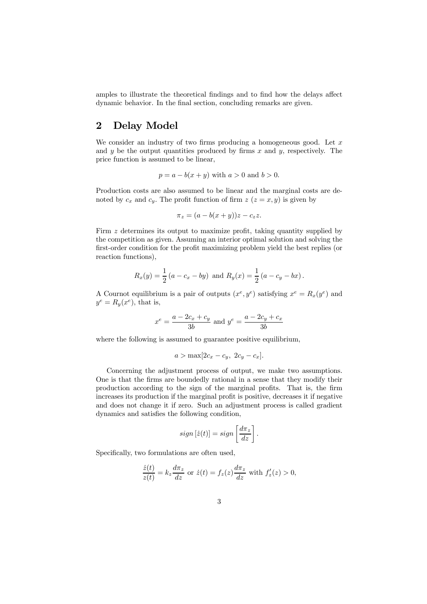amples to illustrate the theoretical findings and to find how the delays affect dynamic behavior. In the final section, concluding remarks are given.

# 2 Delay Model

We consider an industry of two firms producing a homogeneous good. Let  $x$ and  $y$  be the output quantities produced by firms  $x$  and  $y$ , respectively. The price function is assumed to be linear,

$$
p = a - b(x + y)
$$
 with  $a > 0$  and  $b > 0$ .

Production costs are also assumed to be linear and the marginal costs are denoted by  $c_x$  and  $c_y$ . The profit function of firm  $z (z = x, y)$  is given by

$$
\pi_z = (a - b(x + y))z - c_z z.
$$

Firm z determines its output to maximize profit, taking quantity supplied by the competition as given. Assuming an interior optimal solution and solving the first-order condition for the profit maximizing problem yield the best replies (or reaction functions),

$$
R_x(y) = \frac{1}{2}(a - c_x - by)
$$
 and  $R_y(x) = \frac{1}{2}(a - c_y - bx)$ .

A Cournot equilibrium is a pair of outputs  $(x^e, y^e)$  satisfying  $x^e = R_x(y^e)$  and  $y^e = R_y(x^e)$ , that is,

$$
x^{e} = \frac{a - 2c_{x} + c_{y}}{3b}
$$
 and  $y^{e} = \frac{a - 2c_{y} + c_{x}}{3b}$ 

where the following is assumed to guarantee positive equilibrium,

$$
a > \max[2c_x - c_y, 2c_y - c_x].
$$

Concerning the adjustment process of output, we make two assumptions. One is that the firms are boundedly rational in a sense that they modify their production according to the sign of the marginal profits. That is, the firm increases its production if the marginal profit is positive, decreases it if negative and does not change it if zero. Such an adjustment process is called gradient dynamics and satisfies the following condition,

$$
sign [ \dot{z}(t) ] = sign \left[ \frac{d\pi_z}{dz} \right].
$$

Specifically, two formulations are often used,

$$
\frac{\dot{z}(t)}{z(t)} = k_z \frac{d\pi_z}{dz} \text{ or } \dot{z}(t) = f_z(z) \frac{d\pi_z}{dz} \text{ with } f'_z(z) > 0,
$$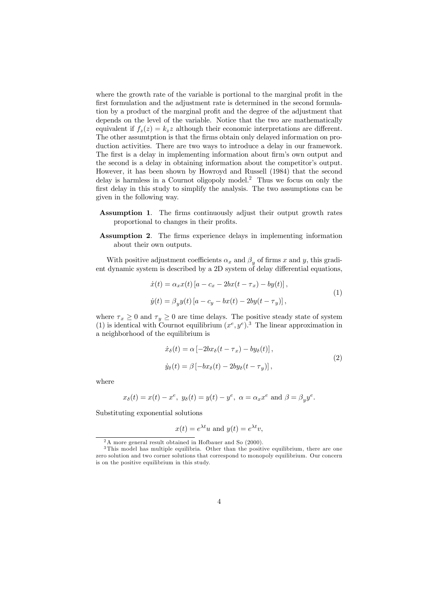where the growth rate of the variable is portional to the marginal profit in the first formulation and the adjustment rate is determined in the second formulation by a product of the marginal profit and the degree of the adjustment that depends on the level of the variable. Notice that the two are mathematically equivalent if  $f_z(z) = k_z z$  although their economic interpretations are different. The other assumtption is that the firms obtain only delayed information on production activities. There are two ways to introduce a delay in our framework. The first is a delay in implementing information about firm's own output and the second is a delay in obtaining information about the competitor's output. However, it has been shown by Howroyd and Russell (1984) that the second delay is harmless in a Cournot oligopoly model.<sup>2</sup> Thus we focus on only the first delay in this study to simplify the analysis. The two assumptions can be given in the following way.

- Assumption 1. The firms continuously adjust their output growth rates proportional to changes in their profits.
- Assumption 2. The firms experience delays in implementing information about their own outputs.

With positive adjustment coefficients  $\alpha_x$  and  $\beta_y$  of firms x and y, this gradient dynamic system is described by a 2D system of delay differential equations,

$$
\begin{aligned} \dot{x}(t) &= \alpha_x x(t) \left[ a - c_x - 2bx(t - \tau_x) - by(t) \right], \\ \dot{y}(t) &= \beta_y y(t) \left[ a - c_y - bx(t) - 2by(t - \tau_y) \right], \end{aligned} \tag{1}
$$

where  $\tau_x \geq 0$  and  $\tau_y \geq 0$  are time delays. The positive steady state of system (1) is identical with Cournot equilibrium  $(x^e, y^e)$ .<sup>3</sup> The linear approximation in a neighborhood of the equilibrium is

$$
\begin{aligned} \dot{x}_{\delta}(t) &= \alpha \left[ -2bx_{\delta}(t - \tau_x) - by_{\delta}(t) \right], \\ \dot{y}_{\delta}(t) &= \beta \left[ -bx_{\delta}(t) - 2by_{\delta}(t - \tau_y) \right], \end{aligned} \tag{2}
$$

where

$$
x_{\delta}(t) = x(t) - x^{e}
$$
,  $y_{\delta}(t) = y(t) - y^{e}$ ,  $\alpha = \alpha_{x}x^{e}$  and  $\beta = \beta_{y}y^{e}$ .

Substituting exponential solutions

$$
x(t) = e^{\lambda t}u
$$
 and  $y(t) = e^{\lambda t}v$ ,

<sup>&</sup>lt;sup>2</sup>A more general result obtained in Hofbauer and So (2000).

<sup>&</sup>lt;sup>3</sup>This model has multiple equilibria. Other than the positive equilibrium, there are one zero solution and two corner solutions that correspond to monopoly equilibrium. Our concern is on the positive equilibrium in this study.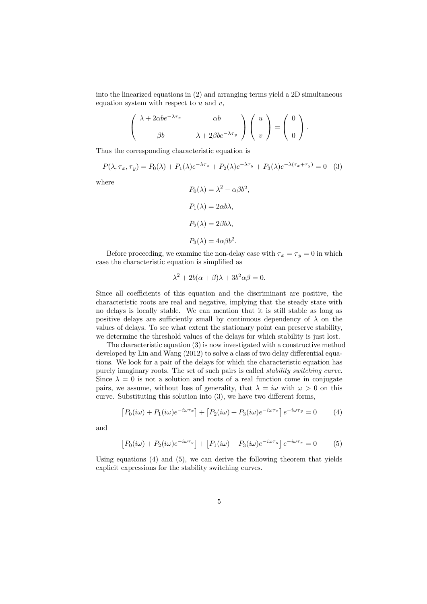into the linearized equations in (2) and arranging terms yield a 2D simultaneous equation system with respect to  $u$  and  $v$ ,

$$
\begin{pmatrix} \lambda + 2\alpha b e^{-\lambda \tau_x} & \alpha b \\ \beta b & \lambda + 2\beta b e^{-\lambda \tau_y} \end{pmatrix} \begin{pmatrix} u \\ v \end{pmatrix} = \begin{pmatrix} 0 \\ 0 \end{pmatrix}.
$$

Thus the corresponding characteristic equation is

$$
P(\lambda, \tau_x, \tau_y) = P_0(\lambda) + P_1(\lambda)e^{-\lambda \tau_x} + P_2(\lambda)e^{-\lambda \tau_y} + P_3(\lambda)e^{-\lambda(\tau_x + \tau_y)} = 0
$$
 (3)

,

where

$$
P_0(\lambda) = \lambda^2 - \alpha \beta b^2
$$

$$
P_1(\lambda) = 2\alpha b \lambda,
$$

$$
P_2(\lambda) = 2\beta b \lambda,
$$

$$
P_3(\lambda) = 4\alpha \beta b^2.
$$

Before proceeding, we examine the non-delay case with  $\tau_x = \tau_y = 0$  in which case the characteristic equation is simplified as

$$
\lambda^2 + 2b(\alpha + \beta)\lambda + 3b^2\alpha\beta = 0.
$$

Since all coefficients of this equation and the discriminant are positive, the characteristic roots are real and negative, implying that the steady state with no delays is locally stable. We can mention that it is still stable as long as positive delays are sufficiently small by continuous dependency of  $\lambda$  on the values of delays. To see what extent the stationary point can preserve stability, we determine the threshold values of the delays for which stability is just lost.

The characteristic equation (3) is now investigated with a constructive method developed by Lin and Wang (2012) to solve a class of two delay differential equations. We look for a pair of the delays for which the characteristic equation has purely imaginary roots. The set of such pairs is called *stability switching curve*. Since  $\lambda = 0$  is not a solution and roots of a real function come in conjugate pairs, we assume, without loss of generality, that  $\lambda = i\omega$  with  $\omega > 0$  on this curve. Substituting this solution into (3), we have two different forms,

$$
[P_0(i\omega) + P_1(i\omega)e^{-i\omega\tau_x}] + [P_2(i\omega) + P_3(i\omega)e^{-i\omega\tau_x}]e^{-i\omega\tau_y} = 0 \qquad (4)
$$

and

$$
[P_0(i\omega) + P_2(i\omega)e^{-i\omega\tau_y}] + [P_1(i\omega) + P_3(i\omega)e^{-i\omega\tau_y}]e^{-i\omega\tau_x} = 0 \qquad (5)
$$

Using equations (4) and (5), we can derive the following theorem that yields explicit expressions for the stability switching curves.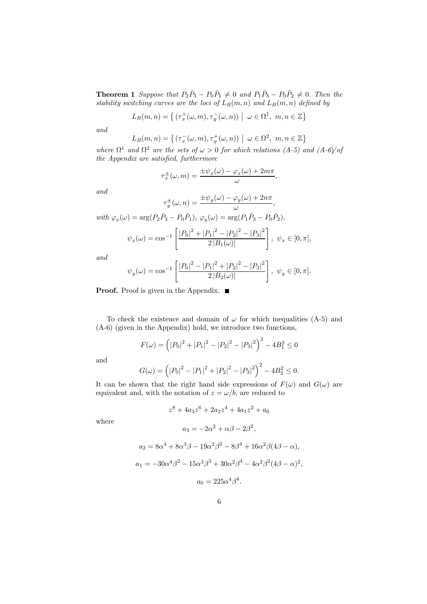**Theorem 1** Suppose that  $P_2\overline{P}_3 - P_0\overline{P}_1 \neq 0$  and  $P_1\overline{P}_3 - P_0\overline{P}_2 \neq 0$ . Then the *stability switching curves are the loci of*  $L_R(m, n)$  *and*  $L_B(m, n)$  *defined by* 

$$
L_R(m,n) = \left\{ \left( \tau_x^+(\omega,m), \tau_y^-(\omega,n) \right) \middle| \omega \in \Omega^1, m, n \in \mathbb{Z} \right\}
$$

*and*

$$
L_B(m, n) = \left\{ \left( \tau_x^-(\omega, m), \tau_y^+(\omega, n) \right) \middle| \omega \in \Omega^2, m, n \in \mathbb{Z} \right\}
$$

*where*  $\Omega^1$  *and*  $\Omega^2$  *are the sets of*  $\omega > 0$  *for which relations*  $(A-5)$  *and*  $(A-6)/of$ *the Appendix are satisfied, furthermore*

$$
\tau_x^{\pm}(\omega,m)=\frac{\pm\psi_x(\omega)-\varphi_x(\omega)+2m\pi}{\omega},
$$

*and*

$$
\tau_y^{\pm}(\omega, n) = \frac{\pm \psi_y(\omega) - \varphi_y(\omega) + 2n\pi}{\omega},
$$

 $with \ \varphi_x(\omega) = \arg(P_2 \bar{P}_3 - P_0 \bar{P}_1), \ \varphi_y(\omega) = \arg(P_1 \bar{P}_3 - P_0 \bar{P}_2),$ 

$$
\psi_x(\omega) = \cos^{-1}\left[\frac{|P_0|^2 + |P_1|^2 - |P_2|^2 - |P_3|^2}{2|B_1(\omega)|}\right], \ \psi_x \in [0, \pi],
$$

*and*

$$
\psi_y(\omega) = \cos^{-1}\left[\frac{|P_0|^2 - |P_1|^2 + |P_2|^2 - |P_3|^2}{2|B_2(\omega)|}\right], \ \psi_y \in [0, \pi].
$$

**Proof.** Proof is given in the Appendix. ■

To check the existence and domain of  $\omega$  for which inequalities (A-5) and (A-6) (given in the Appendix) hold, we introduce two functions,

$$
F(\omega) = (|P_0|^2 + |P_1|^2 - |P_2|^2 - |P_3|^2)^2 - 4B_1^2 \le 0
$$

and

$$
G(\omega) = (|P_0|^2 - |P_1|^2 + |P_2|^2 - |P_3|^2)^2 - 4B_2^2 \le 0.
$$

It can be shown that the right hand side expressions of  $F(\omega)$  and  $G(\omega)$  are equivalent and, with the notation of  $z = \omega/b$ , are reduced to

$$
z^8 + 4a_3z^6 + 2a_2z^4 + 4a_1z^2 + a_0
$$

where

$$
a_3 = -2\alpha^2 + \alpha\beta - 2\beta^2,
$$
  
\n
$$
a_2 = 8\alpha^4 + 8\alpha^3\beta - 19\alpha^2\beta^2 - 8\beta^4 + 16\alpha^2\beta(4\beta - \alpha),
$$
  
\n
$$
a_1 = -30\alpha^4\beta^2 - 15\alpha^3\beta^3 + 30\alpha^2\beta^4 - 4\alpha^2\beta^2(4\beta - \alpha)^2,
$$
  
\n
$$
a_0 = 225\alpha^4\beta^4.
$$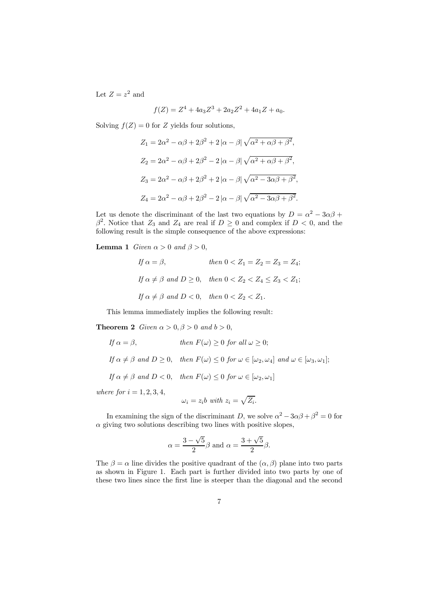Let  $Z = z^2$  and

$$
f(Z) = Z^4 + 4a_3 Z^3 + 2a_2 Z^2 + 4a_1 Z + a_0.
$$

Solving  $f(Z) = 0$  for Z yields four solutions,

$$
Z_1 = 2\alpha^2 - \alpha\beta + 2\beta^2 + 2|\alpha - \beta|\sqrt{\alpha^2 + \alpha\beta + \beta^2},
$$
  
\n
$$
Z_2 = 2\alpha^2 - \alpha\beta + 2\beta^2 - 2|\alpha - \beta|\sqrt{\alpha^2 + \alpha\beta + \beta^2},
$$
  
\n
$$
Z_3 = 2\alpha^2 - \alpha\beta + 2\beta^2 + 2|\alpha - \beta|\sqrt{\alpha^2 - 3\alpha\beta + \beta^2},
$$
  
\n
$$
Z_4 = 2\alpha^2 - \alpha\beta + 2\beta^2 - 2|\alpha - \beta|\sqrt{\alpha^2 - 3\alpha\beta + \beta^2}.
$$

Let us denote the discriminant of the last two equations by  $D = \alpha^2 - 3\alpha\beta +$  $\beta^2$ . Notice that  $Z_3$  and  $Z_4$  are real if  $D \geq 0$  and complex if  $D < 0$ , and the following result is the simple consequence of the above expressions:

**Lemma 1** *Given*  $\alpha > 0$  *and*  $\beta > 0$ ,

$$
If \alpha = \beta, \qquad then \ 0 < Z_1 = Z_2 = Z_3 = Z_4;
$$
\n
$$
If \alpha \neq \beta \ and \ D \geq 0, \quad then \ 0 < Z_2 < Z_4 \leq Z_3 < Z_1;
$$
\n
$$
If \ \alpha \neq \beta \ and \ D < 0, \quad then \ 0 < Z_2 < Z_1.
$$

This lemma immediately implies the following result:

**Theorem 2** *Given*  $\alpha > 0, \beta > 0$  *and*  $b > 0$ ,

If 
$$
\alpha = \beta
$$
, then  $F(\omega) \ge 0$  for all  $\omega \ge 0$ ;  
\nIf  $\alpha \ne \beta$  and  $D \ge 0$ , then  $F(\omega) \le 0$  for  $\omega \in [\omega_2, \omega_4]$  and  $\omega \in [\omega_3, \omega_1]$ ;  
\nIf  $\alpha \ne \beta$  and  $D < 0$ , then  $F(\omega) \le 0$  for  $\omega \in [\omega_2, \omega_1]$   
\nwhere for  $i = 1, 2, 3, 4$ ,

$$
\omega_i = z_i b \text{ with } z_i = \sqrt{Z_i}.
$$

In examining the sign of the discriminant D, we solve  $\alpha^2 - 3\alpha\beta + \beta^2 = 0$  for  $\alpha$  giving two solutions describing two lines with positive slopes,

$$
\alpha = \frac{3 - \sqrt{5}}{2}\beta \text{ and } \alpha = \frac{3 + \sqrt{5}}{2}\beta.
$$

The  $\beta = \alpha$  line divides the positive quadrant of the  $(\alpha, \beta)$  plane into two parts as shown in Figure 1. Each part is further divided into two parts by one of these two lines since the first line is steeper than the diagonal and the second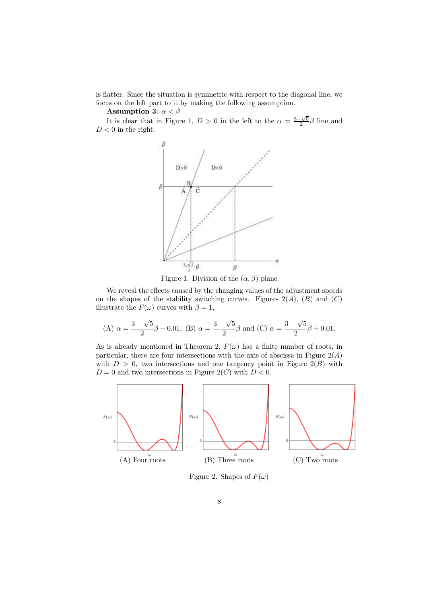is flatter. Since the situation is symmetric with respect to the diagonal line, we focus on the left part to it by making the following assumption.

Assumption 3:  $\alpha < \beta$ 

It is clear that in Figure 1,  $D > 0$  in the left to the  $\alpha = \frac{3-\sqrt{5}}{2}\beta$  line and  $D < 0$  in the right.



Figure 1. Division of the  $(\alpha, \beta)$  plane

We reveal the effects caused by the changing values of the adjustment speeds on the shapes of the stability switching curves. Figures  $2(A)$ ,  $(B)$  and  $(C)$ illustrate the  $F(\omega)$  curves with  $\beta = 1$ ,

(A) 
$$
\alpha = \frac{3-\sqrt{5}}{2}\beta - 0.01
$$
, (B)  $\alpha = \frac{3-\sqrt{5}}{2}\beta$  and (C)  $\alpha = \frac{3-\sqrt{5}}{2}\beta + 0.01$ .

As is already mentioned in Theorem 2,  $F(\omega)$  has a finite number of roots, in particular, there are four intersections with the axis of abscissa in Figure  $2(A)$ with  $D > 0$ , two intersections and one tangency point in Figure 2(B) with  $D = 0$  and two intersections in Figure 2(C) with  $D < 0$ .



Figure 2. Shapes of  $F(\omega)$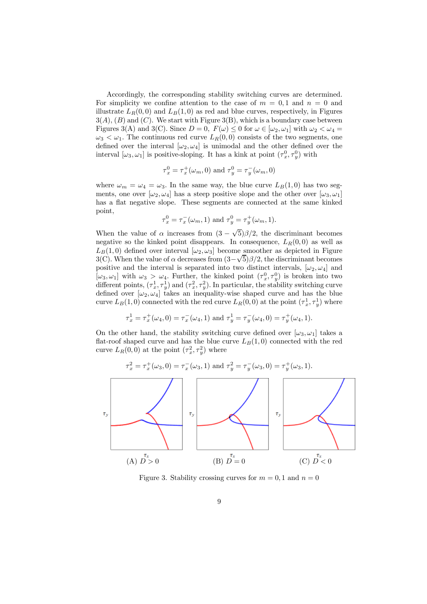Accordingly, the corresponding stability switching curves are determined. For simplicity we confine attention to the case of  $m = 0, 1$  and  $n = 0$  and illustrate  $L_R(0,0)$  and  $L_B(1,0)$  as red and blue curves, respectively, in Figures  $3(A), (B)$  and  $(C)$ . We start with Figure  $3(B)$ , which is a boundary case between Figures 3(A) and 3(C). Since  $D = 0$ ,  $F(\omega) \le 0$  for  $\omega \in [\omega_2, \omega_1]$  with  $\omega_2 < \omega_4 =$  $\omega_3 < \omega_1$ . The continuous red curve  $L_R(0,0)$  consists of the two segments, one defined over the interval  $[\omega_2, \omega_4]$  is unimodal and the other defined over the interval  $[\omega_3, \omega_1]$  is positive-sloping. It has a kink at point  $(\tau_x^0, \tau_y^0)$  with

$$
\tau_x^0 = \tau_x^+(\omega_m, 0)
$$
 and  $\tau_y^0 = \tau_y^-(\omega_m, 0)$ 

where  $\omega_m = \omega_4 = \omega_3$ . In the same way, the blue curve  $L_B(1,0)$  has two segments, one over  $[\omega_2, \omega_4]$  has a steep positive slope and the other over  $[\omega_3, \omega_1]$ has a flat negative slope. These segments are connected at the same kinked point,

$$
\tau_x^0 = \tau_x^-(\omega_m, 1)
$$
 and  $\tau_y^0 = \tau_y^+(\omega_m, 1)$ .

When the value of  $\alpha$  increases from  $(3 - \sqrt{5})\beta/2$ , the discriminant becomes negative so the kinked point disappears. In consequence,  $L_R(0,0)$  as well as  $L_B(1,0)$  defined over interval  $[\omega_2,\omega_3]$  become smoother as depicted in Figure  $3(C)$ . When the value of  $\alpha$  decreases from  $(3-\sqrt{5})\beta/2$ , the discriminant becomes positive and the interval is separated into two distinct intervals,  $[\omega_2, \omega_4]$  and  $[\omega_3,\omega_1]$  with  $\omega_3 > \omega_4$ . Further, the kinked point  $(\tau_x^0, \tau_y^0)$  is broken into two different points,  $(\tau_x^1, \tau_y^1)$  and  $(\tau_x^2, \tau_y^2)$ . In particular, the stability switching curve defined over  $[\omega_2, \omega_4]$  takes an inequality-wise shaped curve and has the blue curve  $L_B(1,0)$  connected with the red curve  $L_R(0,0)$  at the point  $(\tau_x^1, \tau_y^1)$  where

$$
\tau_x^1 = \tau_x^+(\omega_4, 0) = \tau_x^-(\omega_4, 1)
$$
 and  $\tau_y^1 = \tau_y^-(\omega_4, 0) = \tau_y^+(\omega_4, 1)$ .

On the other hand, the stability switching curve defined over  $[\omega_3, \omega_1]$  takes a flat-roof shaped curve and has the blue curve  $L_B(1, 0)$  connected with the red curve  $L_R(0,0)$  at the point  $(\tau_x^2, \tau_y^2)$  where

$$
\tau_x^2 = \tau_x^+(\omega_3, 0) = \tau_x^-(\omega_3, 1) \text{ and } \tau_y^2 = \tau_y^-(\omega_3, 0) = \tau_y^+(\omega_3, 1).
$$

Figure 3. Stability crossing curves for  $m = 0, 1$  and  $n = 0$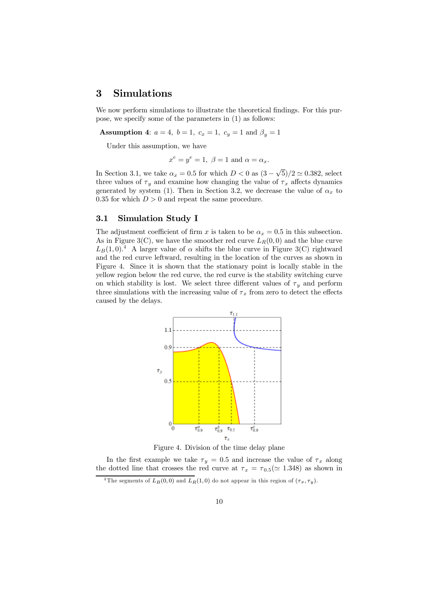### 3 Simulations

We now perform simulations to illustrate the theoretical findings. For this purpose, we specify some of the parameters in (1) as follows:

**Assumption 4:**  $a = 4$ ,  $b = 1$ ,  $c_x = 1$ ,  $c_y = 1$  and  $\beta_y = 1$ 

Under this assumption, we have

$$
x^e = y^e = 1, \ \beta = 1 \text{ and } \alpha = \alpha_x.
$$

In Section 3.1, we take  $\alpha_x = 0.5$  for which  $D < 0$  as  $(3 - \sqrt{5})/2 \approx 0.382$ , select three values of  $\tau_y$  and examine how changing the value of  $\tau_x$  affects dynamics generated by system (1). Then in Section 3.2, we decrease the value of  $\alpha_x$  to 0.35 for which  $D > 0$  and repeat the same procedure.

#### 3.1 Simulation Study I

The adjustment coefficient of firm x is taken to be  $\alpha_x = 0.5$  in this subsection. As in Figure 3(C), we have the smoother red curve  $L_R(0,0)$  and the blue curve  $L_B(1,0)$ <sup>4</sup> A larger value of  $\alpha$  shifts the blue curve in Figure 3(C) rightward and the red curve leftward, resulting in the location of the curves as shown in Figure 4. Since it is shown that the stationary point is locally stable in the yellow region below the red curve, the red curve is the stability switching curve on which stability is lost. We select three different values of  $\tau_y$  and perform three simulations with the increasing value of  $\tau_x$  from zero to detect the effects caused by the delays.





In the first example we take  $\tau_y = 0.5$  and increase the value of  $\tau_x$  along the dotted line that crosses the red curve at  $\tau_x = \tau_{0.5} (\approx 1.348)$  as shown in

<sup>&</sup>lt;sup>4</sup>The segments of  $L_B(0,0)$  and  $L_R(1,0)$  do not appear in this region of  $(\tau_x, \tau_y)$ .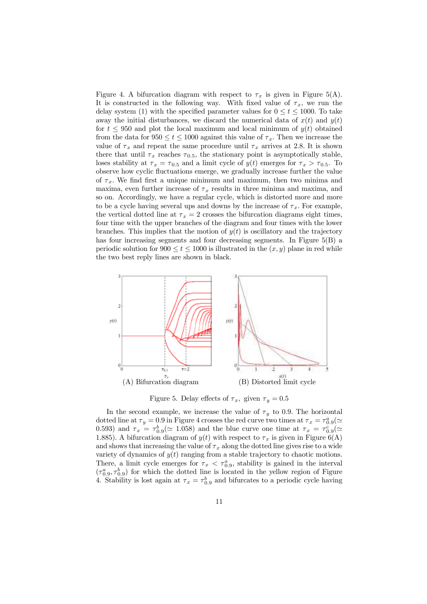Figure 4. A bifurcation diagram with respect to  $\tau_x$  is given in Figure 5(A). It is constructed in the following way. With fixed value of  $\tau_x$ , we run the delay system (1) with the specified parameter values for  $0 \leq t \leq 1000$ . To take away the initial disturbances, we discard the numerical data of  $x(t)$  and  $y(t)$ for  $t \leq 950$  and plot the local maximum and local minimum of  $y(t)$  obtained from the data for  $950 \le t \le 1000$  against this value of  $\tau_x$ . Then we increase the value of  $\tau_x$  and repeat the same procedure until  $\tau_x$  arrives at 2.8. It is shown there that until  $\tau_x$  reaches  $\tau_{0.5}$ , the stationary point is asymptotically stable, loses stability at  $\tau_x = \tau_{0.5}$  and a limit cycle of  $y(t)$  emerges for  $\tau_x > \tau_{0.5}$ . To observe how cyclic fluctuations emerge, we gradually increase further the value of  $\tau_x$ . We find first a unique minimum and maximum, then two minima and maxima, even further increase of  $\tau_x$  results in three minima and maxima, and so on. Accordingly, we have a regular cycle, which is distorted more and more to be a cycle having several ups and downs by the increase of  $\tau_x$ . For example, the vertical dotted line at  $\tau_x = 2$  crosses the bifurcation diagrams eight times, four time with the upper branches of the diagram and four times with the lower branches. This implies that the motion of  $y(t)$  is oscillatory and the trajectory has four increasing segments and four decreasing segments. In Figure 5(B) a periodic solution for  $900 \le t \le 1000$  is illustrated in the  $(x, y)$  plane in red while the two best reply lines are shown in black.



Figure 5. Delay effects of  $\tau_x$ , given  $\tau_y = 0.5$ 

In the second example, we increase the value of  $\tau_y$  to 0.9. The horizontal dotted line at  $\tau_y = 0.9$  in Figure 4 crosses the red curve two times at  $\tau_x = \tau_{0.9}^a (\simeq$ 0.593) and  $\tau_x = \tau_{0.9}^b (\simeq 1.058)$  and the blue curve one time at  $\tau_x = \tau_{0.9}^c (\simeq$ 1.885). A bifurcation diagram of  $y(t)$  with respect to  $\tau_x$  is given in Figure 6(A) and shows that increasing the value of  $\tau_x$  along the dotted line gives rise to a wide variety of dynamics of  $y(t)$  ranging from a stable trajectory to chaotic motions. There, a limit cycle emerges for  $\tau_x < \tau_{0.9}^a$ , stability is gained in the interval  $(\tau_{0.9}^a, \tau_{0.9}^b)$  for which the dotted line is located in the yellow region of Figure 4. Stability is lost again at  $\tau_x = \tau_{0.9}^b$  and bifurcates to a periodic cycle having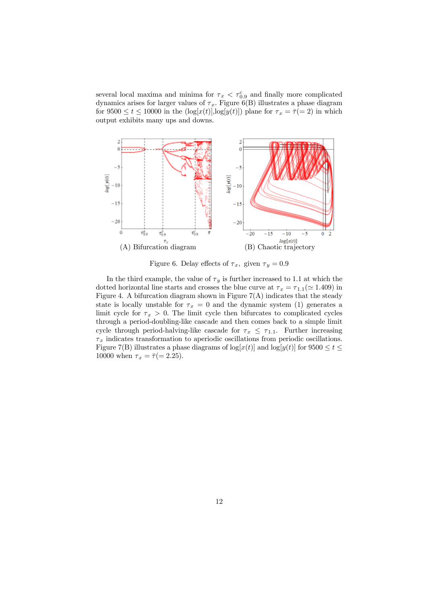several local maxima and minima for  $\tau_x < \tau_{0.9}^c$  and finally more complicated dynamics arises for larger values of  $\tau_x$ . Figure 6(B) illustrates a phase diagram for  $9500 \le t \le 10000$  in the  $(\log[x(t)], \log[y(t)])$  plane for  $\tau_x = \overline{\tau} (= 2)$  in which output exhibits many ups and downs.



Figure 6. Delay effects of  $\tau_x$ , given  $\tau_y = 0.9$ 

In the third example, the value of  $\tau_y$  is further increased to 1.1 at which the dotted horizontal line starts and crosses the blue curve at  $\tau_x = \tau_{1,1} (\approx 1.409)$  in Figure 4. A bifurcation diagram shown in Figure  $7(A)$  indicates that the steady state is locally unstable for  $\tau_x = 0$  and the dynamic system (1) generates a limit cycle for  $\tau_x > 0$ . The limit cycle then bifurcates to complicated cycles through a period-doubling-like cascade and then comes back to a simple limit cycle through period-halving-like cascade for  $\tau_x \leq \tau_{1,1}$ . Further increasing  $\tau_x$  indicates transformation to aperiodic oscillations from periodic oscillations. Figure 7(B) illustrates a phase diagrams of  $log[x(t)]$  and  $log[y(t)]$  for  $9500 \le t \le$ 10000 when  $\tau_x = \bar{\tau} (= 2.25)$ .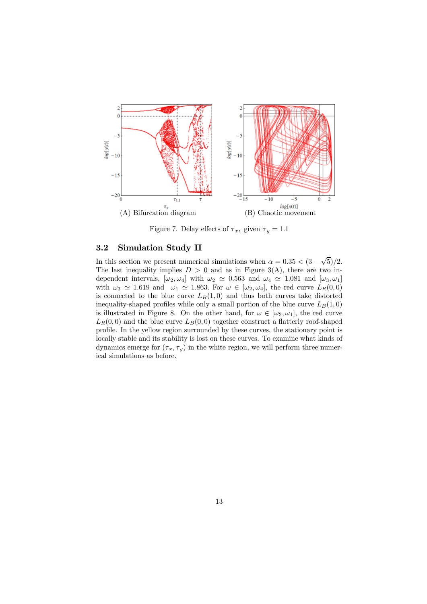

Figure 7. Delay effects of  $\tau_x$ , given  $\tau_y = 1.1$ 

#### 3.2 Simulation Study II

In this section we present numerical simulations when  $\alpha = 0.35 < (3 - \sqrt{5})/2$ . The last inequality implies  $D > 0$  and as in Figure 3(A), there are two independent intervals,  $[\omega_2, \omega_4]$  with  $\omega_2 \simeq 0.563$  and  $\omega_4 \simeq 1.081$  and  $[\omega_3, \omega_1]$ with  $\omega_3 \simeq 1.619$  and  $\omega_1 \simeq 1.863$ . For  $\omega \in [\omega_2, \omega_4]$ , the red curve  $L_R(0,0)$ is connected to the blue curve  $L_B(1, 0)$  and thus both curves take distorted inequality-shaped profiles while only a small portion of the blue curve  $L_B(1, 0)$ is illustrated in Figure 8. On the other hand, for  $\omega \in [\omega_3, \omega_1]$ , the red curve  $L_R(0,0)$  and the blue curve  $L_B(0,0)$  together construct a flatterly roof-shaped profile. In the yellow region surrounded by these curves, the stationary point is locally stable and its stability is lost on these curves. To examine what kinds of dynamics emerge for  $(\tau_x, \tau_y)$  in the white region, we will perform three numerical simulations as before.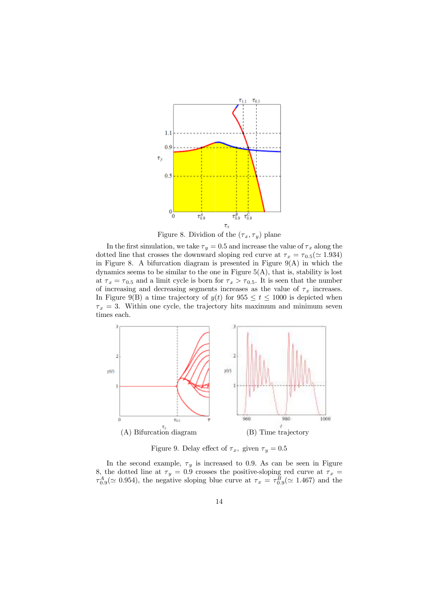

Figure 8. Dividion of the  $(\tau_x, \tau_y)$  plane

In the first simulation, we take  $\tau_y = 0.5$  and increase the value of  $\tau_x$  along the dotted line that crosses the downward sloping red curve at  $\tau_x = \tau_{0.5} (\simeq 1.934)$ in Figure 8. A bifurcation diagram is presented in Figure  $9(A)$  in which the dynamics seems to be similar to the one in Figure  $5(A)$ , that is, stability is lost at  $\tau_x = \tau_{0.5}$  and a limit cycle is born for  $\tau_x > \tau_{0.5}$ . It is seen that the number of increasing and decreasing segments increases as the value of  $\tau_x$  increases. In Figure 9(B) a time trajectory of  $y(t)$  for  $955 \le t \le 1000$  is depicted when  $\tau_x = 3$ . Within one cycle, the trajectory hits maximum and minimum seven times each.



Figure 9. Delay effect of  $\tau_x$ , given  $\tau_y = 0.5$ 

In the second example,  $\tau_y$  is increased to 0.9. As can be seen in Figure 8, the dotted line at  $\tau_y = 0.9$  crosses the positive-sloping red curve at  $\tau_x =$  $\tau_{0.9}^A(\simeq 0.954)$ , the negative sloping blue curve at  $\tau_x = \tau_{0.9}^B(\simeq 1.467)$  and the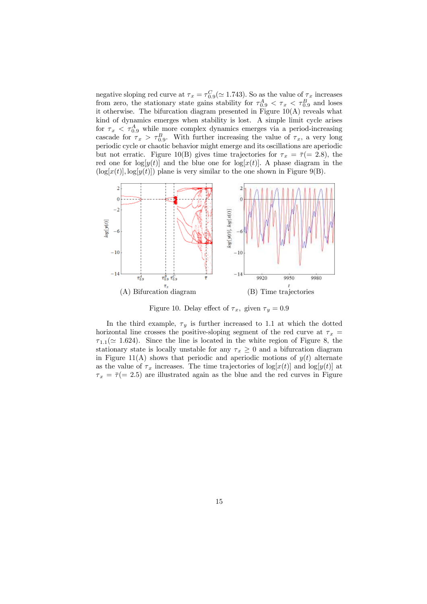negative sloping red curve at  $\tau_x = \tau_{0.9}^C (\simeq 1.743)$ . So as the value of  $\tau_x$  increases from zero, the stationary state gains stability for  $\tau_{0.9}^A < \tau_x < \tau_{0.9}^B$  and loses it otherwise. The bifurcation diagram presented in Figure  $10(A)$  reveals what kind of dynamics emerges when stability is lost. A simple limit cycle arises for  $\tau_x < \tau_{0.9}^A$  while more complex dynamics emerges via a period-increasing cascade for  $\tau_x > \tau_{0.9}^B$ . With further increasing the value of  $\tau_x$ , a very long periodic cycle or chaotic behavior might emerge and its oscillations are aperiodic but not erratic. Figure 10(B) gives time trajectories for  $\tau_x = \bar{\tau} (= 2.8)$ , the red one for  $log[y(t)]$  and the blue one for  $log[x(t)]$ . A phase diagram in the  $(\log[x(t)], \log[y(t)])$  plane is very similar to the one shown in Figure 9(B).



Figure 10. Delay effect of  $\tau_x$ , given  $\tau_y = 0.9$ 

In the third example,  $\tau_y$  is further increased to 1.1 at which the dotted horizontal line crosses the positive-sloping segment of the red curve at  $\tau_x$  =  $\tau_{1,1}(\simeq 1.624)$ . Since the line is located in the white region of Figure 8, the stationary state is locally unstable for any  $\tau_x \geq 0$  and a bifurcation diagram in Figure 11(A) shows that periodic and aperiodic motions of  $y(t)$  alternate as the value of  $\tau_x$  increases. The time trajectories of  $\log[x(t)]$  and  $\log[y(t)]$  at  $\tau_x = \bar{\tau} (= 2.5)$  are illustrated again as the blue and the red curves in Figure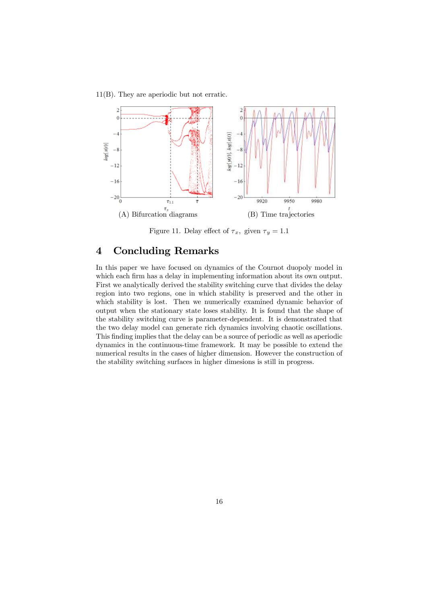#### 11(B). They are aperiodic but not erratic.



Figure 11. Delay effect of  $\tau_x$ , given  $\tau_y = 1.1$ 

# 4 Concluding Remarks

In this paper we have focused on dynamics of the Cournot duopoly model in which each firm has a delay in implementing information about its own output. First we analytically derived the stability switching curve that divides the delay region into two regions, one in which stability is preserved and the other in which stability is lost. Then we numerically examined dynamic behavior of output when the stationary state loses stability. It is found that the shape of the stability switching curve is parameter-dependent. It is demonstrated that the two delay model can generate rich dynamics involving chaotic oscillations. This finding implies that the delay can be a source of periodic as well as aperiodic dynamics in the continuous-time framework. It may be possible to extend the numerical results in the cases of higher dimension. However the construction of the stability switching surfaces in higher dimesions is still in progress.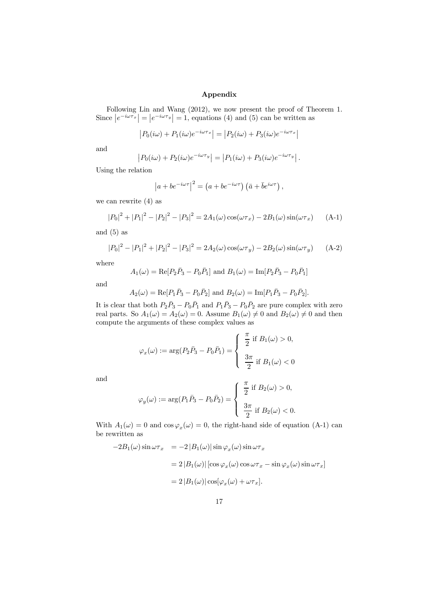#### Appendix

Following Lin and Wang (2012), we now present the proof of Theorem 1. Since  $|e^{-i\omega \tau_x}| = |e^{-i\omega \tau_y}| = 1$ , equations (4) and (5) can be written as

$$
|P_0(i\omega) + P_1(i\omega)e^{-i\omega\tau_x}| = |P_2(i\omega) + P_3(i\omega)e^{-i\omega\tau_x}|
$$

and

$$
|P_0(i\omega) + P_2(i\omega)e^{-i\omega\tau_y}| = |P_1(i\omega) + P_3(i\omega)e^{-i\omega\tau_y}|.
$$

Using the relation

$$
\left|a+be^{-i\omega\tau}\right|^2 = \left(a+be^{-i\omega\tau}\right)\left(\bar{a}+\bar{b}e^{i\omega\tau}\right),\,
$$

we can rewrite (4) as

$$
|P_0|^2 + |P_1|^2 - |P_2|^2 - |P_3|^2 = 2A_1(\omega)\cos(\omega \tau_x) - 2B_1(\omega)\sin(\omega \tau_x)
$$
 (A-1)

and  $(5)$  as

$$
|P_0|^2 - |P_1|^2 + |P_2|^2 - |P_3|^2 = 2A_2(\omega)\cos(\omega \tau_y) - 2B_2(\omega)\sin(\omega \tau_y)
$$
 (A-2)

where

$$
A_1(\omega) = \text{Re}[P_2\overline{P}_3 - P_0\overline{P}_1]
$$
 and  $B_1(\omega) = \text{Im}[P_2\overline{P}_3 - P_0\overline{P}_1]$ 

and

$$
A_2(\omega) = \text{Re}[P_1 \bar{P}_3 - P_0 \bar{P}_2]
$$
 and  $B_2(\omega) = \text{Im}[P_1 \bar{P}_3 - P_0 \bar{P}_2].$ 

It is clear that both  $P_2\bar{P}_3 - P_0\bar{P}_1$  and  $P_1\bar{P}_3 - P_0\bar{P}_2$  are pure complex with zero real parts. So  $A_1(\omega) = A_2(\omega) = 0$ . Assume  $B_1(\omega) \neq 0$  and  $B_2(\omega) \neq 0$  and then compute the arguments of these complex values as

$$
\varphi_x(\omega) := \arg(P_2\bar{P}_3 - P_0\bar{P}_1) = \begin{cases} \frac{\pi}{2} \text{ if } B_1(\omega) > 0, \\ \frac{3\pi}{2} \text{ if } B_1(\omega) < 0 \end{cases}
$$

and

$$
\varphi_y(\omega) := \arg(P_1 \overline{P}_3 - P_0 \overline{P}_2) = \begin{cases} \frac{\pi}{2} & \text{if } B_2(\omega) > 0, \\ \frac{3\pi}{2} & \text{if } B_2(\omega) < 0. \end{cases}
$$

With  $A_1(\omega) = 0$  and  $\cos \varphi_x(\omega) = 0$ , the right-hand side of equation (A-1) can be rewritten as

$$
-2B_1(\omega)\sin\omega\tau_x = -2|B_1(\omega)|\sin\varphi_x(\omega)\sin\omega\tau_x
$$
  

$$
= 2|B_1(\omega)|[\cos\varphi_x(\omega)\cos\omega\tau_x - \sin\varphi_x(\omega)\sin\omega\tau_x]
$$
  

$$
= 2|B_1(\omega)|\cos[\varphi_x(\omega) + \omega\tau_x].
$$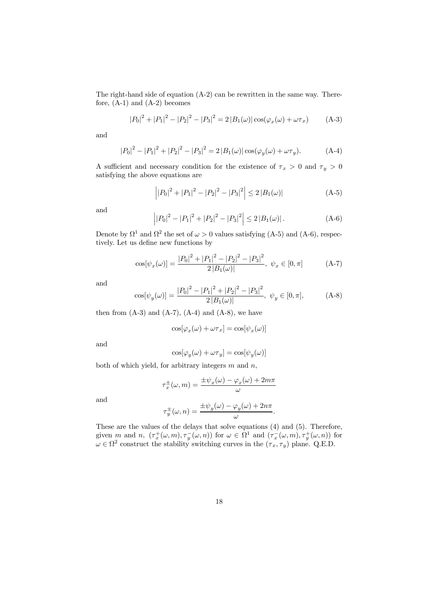The right-hand side of equation (A-2) can be rewritten in the same way. Therefore,  $(A-1)$  and  $(A-2)$  becomes

$$
|P_0|^2 + |P_1|^2 - |P_2|^2 - |P_3|^2 = 2|B_1(\omega)|\cos(\varphi_x(\omega) + \omega \tau_x)
$$
 (A-3)

and

$$
|P_0|^2 - |P_1|^2 + |P_2|^2 - |P_3|^2 = 2|B_1(\omega)|\cos(\varphi_y(\omega) + \omega \tau_y).
$$
 (A-4)

A sufficient and necessary condition for the existence of  $\tau_x > 0$  and  $\tau_y > 0$ satisfying the above equations are

$$
\left| |P_0|^2 + |P_1|^2 - |P_2|^2 - |P_3|^2 \right| \le 2 |B_1(\omega)| \tag{A-5}
$$

and

$$
\left| |P_0|^2 - |P_1|^2 + |P_2|^2 - |P_3|^2 \right| \le 2|B_1(\omega)|. \tag{A-6}
$$

Denote by  $\Omega^1$  and  $\Omega^2$  the set of  $\omega > 0$  values satisfying (A-5) and (A-6), respectively. Let us define new functions by

$$
\cos[\psi_x(\omega)] = \frac{|P_0|^2 + |P_1|^2 - |P_2|^2 - |P_3|^2}{2|B_1(\omega)|}, \ \psi_x \in [0, \pi]
$$
 (A-7)

and

$$
\cos[\psi_y(\omega)] = \frac{|P_0|^2 - |P_1|^2 + |P_2|^2 - |P_3|^2}{2|B_1(\omega)|}, \ \psi_y \in [0, \pi], \tag{A-8}
$$

then from  $(A-3)$  and  $(A-7)$ ,  $(A-4)$  and  $(A-8)$ , we have

$$
\cos[\varphi_x(\omega) + \omega \tau_x] = \cos[\psi_x(\omega)]
$$

and

$$
\cos[\varphi_y(\omega) + \omega \tau_y] = \cos[\psi_y(\omega)]
$$

both of which yield, for arbitrary integers  $m$  and  $n$ ,

$$
\tau_x^{\pm}(\omega, m) = \frac{\pm \psi_x(\omega) - \varphi_x(\omega) + 2m\pi}{\omega}
$$

and

$$
\tau_y^{\pm}(\omega, n) = \frac{\pm \psi_y(\omega) - \varphi_y(\omega) + 2n\pi}{\omega}.
$$

These are the values of the delays that solve equations (4) and (5). Therefore, given m and n,  $(\tau_x^+(\omega, m), \tau_y^-(\omega, n))$  for  $\omega \in \Omega^1$  and  $(\tau_x^-(\omega, m), \tau_y^+(\omega, n))$  for  $\omega \in \Omega^2$  construct the stability switching curves in the  $(\tau_x, \tau_y)$  plane. Q.E.D.